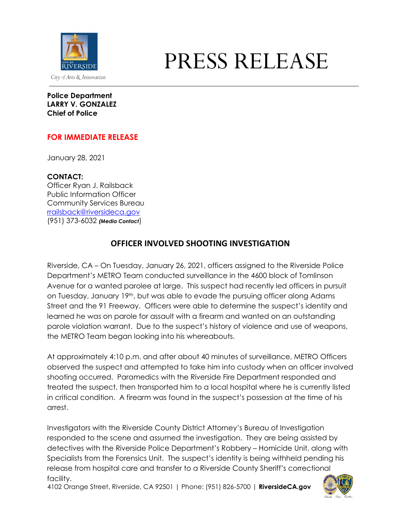

## PRESS RELEASE

## **Police Department LARRY V. GONZALEZ Chief of Police**

## **FOR IMMEDIATE RELEASE**

January 28, 2021

**CONTACT:**

Officer Ryan J. Railsback Public Information Officer Community Services Bureau [rrailsback@riversideca.gov](mailto:rrailsback@riversideca.gov) (951) 373-6032 *(Media Contact*)

## **OFFICER INVOLVED SHOOTING INVESTIGATION**

Riverside, CA – On Tuesday, January 26, 2021, officers assigned to the Riverside Police Department's METRO Team conducted surveillance in the 4600 block of Tomlinson Avenue for a wanted parolee at large. This suspect had recently led officers in pursuit on Tuesday, January 19th, but was able to evade the pursuing officer along Adams Street and the 91 Freeway. Officers were able to determine the suspect's identity and learned he was on parole for assault with a firearm and wanted on an outstanding parole violation warrant. Due to the suspect's history of violence and use of weapons, the METRO Team began looking into his whereabouts.

At approximately 4:10 p.m. and after about 40 minutes of surveillance, METRO Officers observed the suspect and attempted to take him into custody when an officer involved shooting occurred. Paramedics with the Riverside Fire Department responded and treated the suspect, then transported him to a local hospital where he is currently listed in critical condition. A firearm was found in the suspect's possession at the time of his arrest.

Investigators with the Riverside County District Attorney's Bureau of Investigation responded to the scene and assumed the investigation. They are being assisted by detectives with the Riverside Police Department's Robbery – Homicide Unit, along with Specialists from the Forensics Unit. The suspect's identity is being withheld pending his release from hospital care and transfer to a Riverside County Sheriff's correctional facility.

4102 Orange Street, Riverside, CA 92501 | Phone: (951) 826-5700 | **RiversideCA.gov**